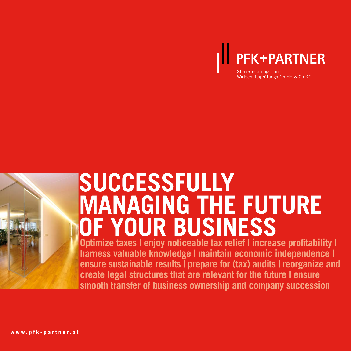

Wirtschaftsprüfungs-GmbH & Co KG



# **SUCCESSFULLY MANAGING THE FUTURE OF YOUR BUSINESS**

**Optimize taxes I enjoy noticeable tax relief I increase profitability I harness valuable knowledge | maintain economic independence | ensure sustainable results | prepare for (tax) audits | reorganize and create legal structures that are relevant for the future | ensure smooth transfer of business ownership and company succession**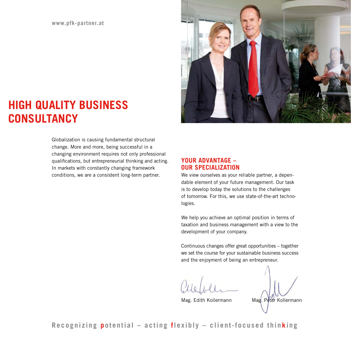**www.pfk-partner.at**



# **HIGH QUALITY BUSINESS CONSULTANCY**

Globalization is causing fundamental structural change. More and more, being successful in a changing environment requires not only professional qualifications, but entrepreneurial thinking and acting. In markets with constantly changing framework conditions, we are a consistent long-term partner.

# **YOUR ADVANTAGE – OUR SPECIALIZATION**

We view ourselves as your reliable partner, a dependable element of your future management. Our task is to develop today the solutions to the challenges of tomorrow. For this, we use state-of-the-art technologies.

We help you achieve an optimal position in terms of taxation and business management with a view to the development of your company.

Continuous changes offer great opportunities – together we set the course for your sustainable business success and the enjoyment of being an entrepreneur.

Mag. Edith Kollermann Mag. Peter Kollermann

**Recognizing potential – acting flexibly – client-focused thinking**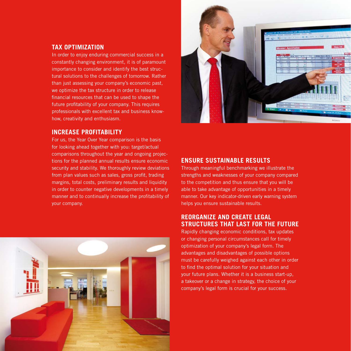# **TAX OPTIMIZATION**

In order to enjoy enduring commercial success in a constantly changing environment, it is of paramount importance to consider and identify the best structural solutions to the challenges of tomorrow. Rather than just assessing your company's economic past, we optimize the tax structure in order to release financial resources that can be used to shape the future profitability of your company. This requires professionals with excellent tax and business knowhow, creativity and enthusiasm.

#### **INCREASE PROFITABILITY**

For us, the Year Over Year comparison is the basis for looking ahead together with you: target/actual comparisons throughout the year and ongoing projections for the planned annual results ensure economic security and stability. We thoroughly review deviations from plan values such as sales, gross profit, trading margins, total costs, preliminary results and liquidity in order to counter negative developments in a timely manner and to continually increase the profitability of your company.





#### **ENSURE SUSTAINABLE RESULTS**

Through meaningful benchmarking we illustrate the strengths and weaknesses of your company compared to the competition and thus ensure that you will be able to take advantage of opportunities in a timely manner. Our key indicator-driven early warning system helps you ensure sustainable results.

#### **REORGANIZE AND CREATE LEGAL STRUCTURES THAT LAST FOR THE FUTURE**

Rapidly changing economic conditions, tax updates or changing personal circumstances call for timely optimization of your company's legal form. The advantages and disadvantages of possible options must be carefully weighed against each other in order to find the optimal solution for your situation and your future plans. Whether it is a business start-up, a takeover or a change in strategy, the choice of your company's legal form is crucial for your success.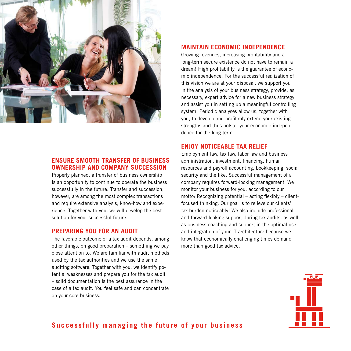

# **ENSURE SMOOTH TRANSFER OF BUSINESS OWNERSHIP AND COMPANY SUCCESSION**

Properly planned, a transfer of business ownership is an opportunity to continue to operate the business successfully in the future. Transfer and succession, however, are among the most complex transactions and require extensive analysis, know-how and experience. Together with you, we will develop the best solution for your successful future.

#### **PREPARING YOU FOR AN AUDIT**

The favorable outcome of a tax audit depends, among other things, on good preparation – something we pay close attention to. We are familiar with audit methods used by the tax authorities and we use the same auditing software. Together with you, we identify potential weaknesses and prepare you for the tax audit – solid documentation is the best assurance in the case of a tax audit. You feel safe and can concentrate on your core business.

#### **MAINTAIN ECONOMIC INDEPENDENCE**

Growing revenues, increasing profitability and a long-term secure existence do not have to remain a dream! High profitability is the guarantee of economic independence. For the successful realization of this vision we are at your disposal: we support you in the analysis of your business strategy, provide, as necessary, expert advice for a new business strategy and assist you in setting up a meaningful controlling system. Periodic analyses allow us, together with you, to develop and profitably extend your existing strengths and thus bolster your economic independence for the long-term.

#### **ENJOY NOTICEABLE TAX RELIEF**

Employment law, tax law, labor law and business administration, investment, financing, human resources and payroll accounting, bookkeeping, social security and the like. Successful management of a company requires forward-looking management. We monitor your business for you, according to our motto: Recognizing potential – acting flexibly – clientfocused thinking. Our goal is to relieve our clients' tax burden noticeably! We also include professional and forward-looking support during tax audits, as well as business coaching and support in the optimal use and integration of your IT architecture because we know that economically challenging times demand more than good tax advice.



**Successfully managing the future of your business**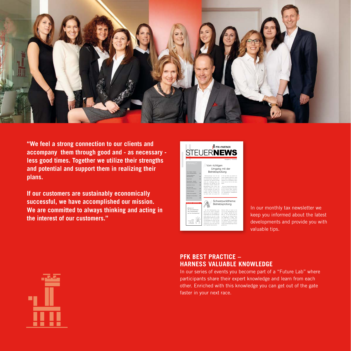

**"We feel a strong connection to our clients and accompany them through good and - as necessary less good times. Together we utilize their strengths and potential and support them in realizing their plans.**

**If our customers are sustainably economically successful, we have accomplished our mission. We are committed to always thinking and acting in the interest of our customers."** 

| <b>PFK+PARTNER</b><br><b>STEUERNEWS</b>                                                                                                                                                                                                                                                                                                                                                                                                |                                                                                                                                                                                                                                                                                                                                                                                                                                                                                                                     |                                                                                                                                                                                                                                                                                                                                                                                                                                                                            |
|----------------------------------------------------------------------------------------------------------------------------------------------------------------------------------------------------------------------------------------------------------------------------------------------------------------------------------------------------------------------------------------------------------------------------------------|---------------------------------------------------------------------------------------------------------------------------------------------------------------------------------------------------------------------------------------------------------------------------------------------------------------------------------------------------------------------------------------------------------------------------------------------------------------------------------------------------------------------|----------------------------------------------------------------------------------------------------------------------------------------------------------------------------------------------------------------------------------------------------------------------------------------------------------------------------------------------------------------------------------------------------------------------------------------------------------------------------|
| ш<br><b>INHALT:</b><br><b>View AUNIONS ENGINEERS</b><br>rel der Belriebsersfung<br>٠<br>Schempunkthema<br><b>Britishandley</b><br>٠<br><b>Kluim Kitabr</b><br>٠<br>December - Atlanta<br><b>Edenomials und Eriksan</b><br>۰<br><b>Analheimo Comer</b><br>$\overline{\phantom{a}}$<br>age Salve Mill<br>workshop Anneblurg<br>۰<br>۰<br><b>Virantúnillauni</b><br><b>Proden rockf unransami</b><br>۰<br><b>Building St Universities</b> | Vom richtigen<br>Betriebsprüfung<br>Betrainprofungen sind Tel des<br>Universitessippers and sallen durch<br>en Lysburgereiges Reducation in<br><b>Velomberg und Writers out abor-</b><br>Inded sets, Lindshirons dayon, som<br>Generation and seasons do Aut-<br>anchousant vorbisers, bedrubt now<br>Belteburghen doch inner eine<br>And It buy whilled whiching<br>cervisite Enteriors, NY service uns.<br>in down Aussian monitorial dami-<br>believes, say Ile Ju desen The-<br>na wases salles and weaked. Ile | Auguste 2 - 05/2012<br>Umgang mit der<br>in Fall des Falles gut gestabt sein<br>weeken. Zusätzlich betonnen wir, diese<br>De får denen Virtuans auch ungere<br>Eddingto and Globalizzation makes<br>kinnen und um Zie han nach allein<br><b>Separate</b><br>Mi von Zugenmerbesung situat<br>by Educational Introduce air Die administ<br>ad des reunites Stand, Aubenber-<br>betables air play de les Frièges bei<br>urs, durchsellshien, Verbangsbende<br>to Australian . |
| <b>New Im Team</b><br>KLUGE KÖPFE:<br>Beweix ist<br>die Zunäckfährung<br>class Taxabalhudson<br>auf ein Anerkanntes."<br><b>The Automatical</b><br>(2788-1860)<br><b>C. Philadelphia</b>                                                                                                                                                                                                                                               | Das Wel Belodearthea vera-<br>said bei den meiden Urbefalen.<br>sheets was you dan westprint to<br>reasonable and de Pollensbate<br>relativ seems at. Auf rund 1.3 Min.<br>Shumounners honner nor ca. 2020<br>Britainarda, Bri ductastralish<br>23 Pollutostaten ara Prater sind das<br>International ca. 70,000 Belonger<br>prillangen pro Jahr saler elass melle<br>an 175 provide Severanesen.                                                                                                                   | Schwerpunktthema:<br>Betriebsprüfung<br>Decrease, Ment en annel of him<br>nen De einer Behielnunühme auch<br>stabl estation. Benden De sich<br>ably you - Sy den Pall der Falle! Ex-<br>al inner out de cabines Beurse<br>and Entimoters as haben, Jene<br>de bereix varies des Rabidiens<br>she bhallsteren und rebarreitende<br>torigancia Malcolmen econômi<br>weeken bei BelreinsamZungen bessen<br>ambdel sein.                                                       |

In our monthly tax newsletter we keep you informed about the latest developments and provide you with valuable tips.



# **PFK BEST PRACTICE – HARNESS VALUABLE KNOWLEDGE**

In our series of events you become part of a "Future Lab" where participants share their expert knowledge and learn from each other. Enriched with this knowledge you can get out of the gate faster in your next race.